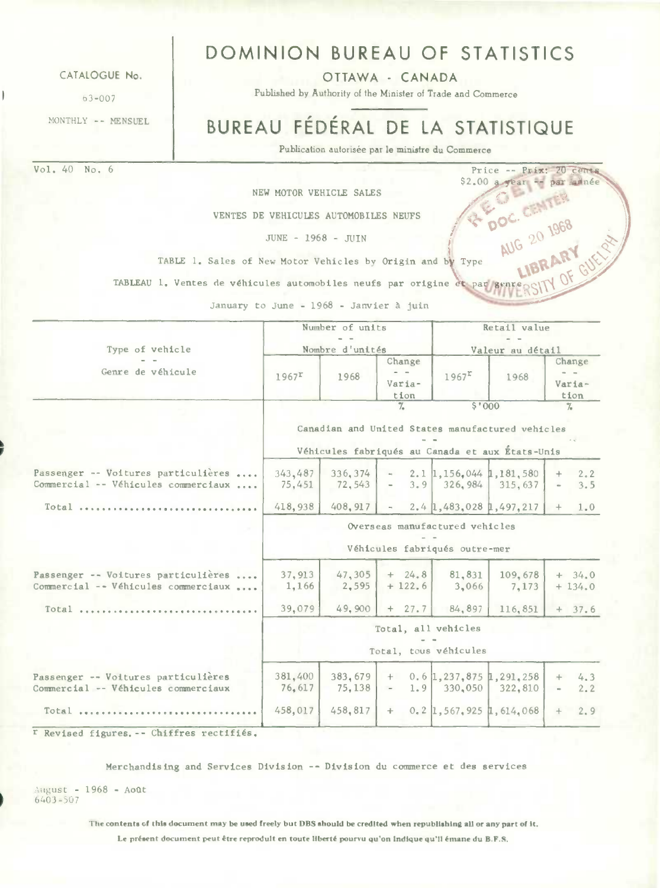CATAIOGUE No.

 $63 - 007$ 

MONTHLY -- MENSUEL

Vol. 40 No. 6 Price -- Prix: 20 cents

# DOMINION BUREAU OF STATISTICS

OTTAWA - CANADA

Published by Authority of the Minister of Trade and Commerce

# BUREAU FÉDÉRAL DE LA STATISTIQUE

 $W$  OF

Publication autorisée par le ministre du Commerce

NEW MOTOR VEHICLE SALES

 $JUNE - 1968 - JUITN$ 

VENTES DE VEHICULES AUTOMOBILES NEUFS COOPER DOC. C. 1968<br>JUNE - 1968 - JUIN<br>Gales of New Motor Vehicles by Origin and by Type AUG 20 1968 TABLE 1. Sales of New Motor Vehicles by Origin and by Type

TABLEAU 1. Ventes de véhicules automobiles neufs par origine et par genre

January to June - 1968 - Janvier à juin

|                                                                            |                   | Number of units    |                          | Retail value                                                    |                                                                                                     |                          |  |  |
|----------------------------------------------------------------------------|-------------------|--------------------|--------------------------|-----------------------------------------------------------------|-----------------------------------------------------------------------------------------------------|--------------------------|--|--|
| Type of vehicle                                                            |                   | Nombre d'unités    |                          |                                                                 | Valeur au détail                                                                                    |                          |  |  |
| Genre de véhicule                                                          | $1967^{\circ}$    | 1968               | Change<br>Varia-<br>tion | $1967^{\texttt{r}}$                                             | 1968                                                                                                | Change<br>Varia-<br>tion |  |  |
|                                                                            |                   |                    | $\frac{9}{4}$            | \$'000                                                          |                                                                                                     | $\frac{9}{4}$            |  |  |
|                                                                            |                   |                    |                          |                                                                 | Canadian and United States manufactured vehicles<br>Véhicules fabriqués au Canada et aux États-Unis |                          |  |  |
| Passenger -- Voitures particulières<br>Commercial -- Véhicules commerciaux | 343,487<br>75,451 | 336, 374<br>72.543 | 3.9<br>$\sim$            | $-2.1$ 1, 156, 044 1, 181, 580                                  | 326, 984 315, 637                                                                                   | 2.2<br>3.5               |  |  |
| Total                                                                      | 418,938           | 408, 917           | $\sim$                   |                                                                 | $2.4$ 1, 483, 028 1, 497, 217                                                                       | 1.0<br>$+$               |  |  |
|                                                                            |                   |                    |                          | Overseas manufactured vehicles<br>Véhicules fabriqués outre-mer |                                                                                                     |                          |  |  |
| Passenger -- Voitures particulières<br>Commercial -- Véhicules commerciaux | 37, 913<br>1,166  | 47,305<br>2.595    | $+ 24.8$<br>$+122.6$     | 81,831<br>3,066                                                 | 109.678<br>7,173                                                                                    | $+34.0$<br>$+134.0$      |  |  |
| Total                                                                      | 39,079            | 49.900             | $+27.7$                  | 84,897                                                          | 116.851                                                                                             | $+37.6$                  |  |  |
|                                                                            |                   |                    | Total, all vehicles      | Total, tous véhicules                                           |                                                                                                     |                          |  |  |
| Passenger -- Voitures particulières<br>Commercial -- Véhicules commerciaux | 381,400<br>76,617 | 383,679<br>75,138  | $-1.9$                   | $+$ 0.6 1, 237, 875 1, 291, 258<br>$330,050$ 322,810            |                                                                                                     | 4.3<br>$+$<br>2.2        |  |  |
| Total                                                                      | 458,017           | 458,817            |                          | $+$ 0.2 1, 567, 925 1, 614, 068                                 |                                                                                                     | 2, 9<br>$+$              |  |  |

r Revised figures. -- Chiffres rectifiés.

Merchandising and Services Division -- Division du commerce et des services

OLgust - 1968 - **AoOt**  6403-507

**The contents of this document may be used freely but DBS should be credited when republishing all or any part of it.** 

Le présent document peut être reprodult en toute Ilberté pourvu qu'on Indique qu'II émane du B.F.S.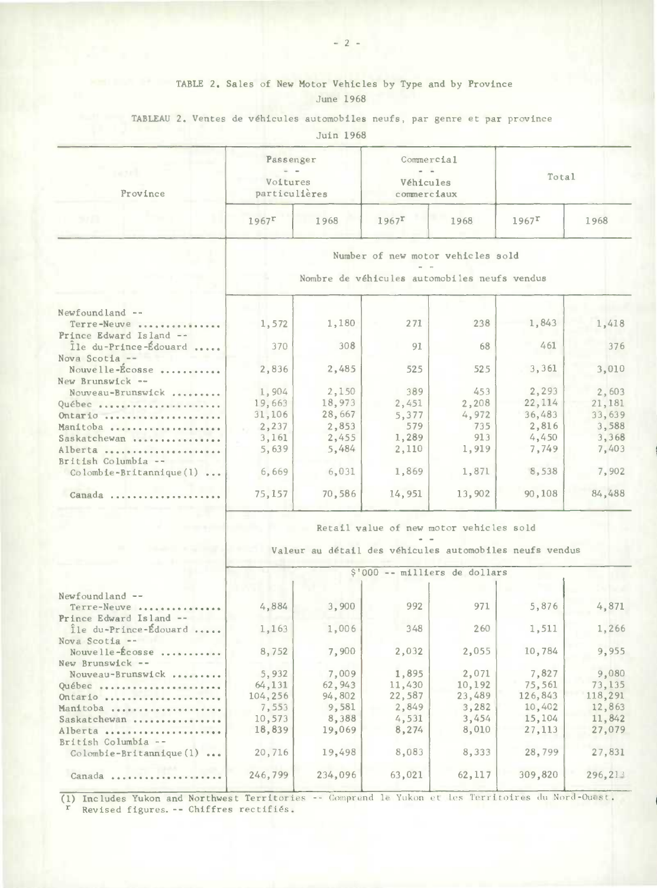## TABLE 2. Sales of New Motor Vehicles by Type and by Province June 1968

### TABLEAU 2. Ventes de véhicules automobiles neufs, par genre et par province

Juin 1968

| nes el<br>Province | Passenger<br>$\frac{1}{2} \left( \frac{1}{2} \right)$<br>Voitures<br>particulières |      |                     | Commercial<br>$m = m$<br>Véhicules<br>commerciaux | Total               |      |  |
|--------------------|------------------------------------------------------------------------------------|------|---------------------|---------------------------------------------------|---------------------|------|--|
| 5/11               | $1967$ <sup>r</sup>                                                                | 1968 | $1967$ <sup>r</sup> | 1968                                              | $1967$ <sup>r</sup> | 1968 |  |

Number of new motor vehicles sold

Nombre de véhicu lea automobiles neufs vendus

| Newfoundland --            |        |        |        |        |         |        |
|----------------------------|--------|--------|--------|--------|---------|--------|
| Terre-Neuve                | 1,572  | 1,180  | 271    | 238    | 1,843   | 1,418  |
| Prince Edward Island --    |        |        |        |        |         |        |
| Île du-Prince-Édouard      | 370    | 308    | 91     | 68     | 461     | 376    |
| Nova Scotia --             |        |        |        |        |         |        |
| Nouvelle-Ecosse            | 2,836  | 2,485  | 525    | 525    | 3,361   | 3,010  |
| New Brunswick --           |        |        |        |        |         |        |
| Nouveau-Brunswick          | 1,904  | 2,150  | 389    | 453    | 2,293   | 2,603  |
| Québec                     | 19,663 | 18,973 | 2,451  | 2,208  | 22, 114 | 21,181 |
| $0$ ntario                 | 31,106 | 28,667 | 5.377  | 4,972  | 36,483  | 33,639 |
| Manitoba                   | 2,237  | 2,853  | 579    | 735    | 2,816   | 3,588  |
| Saskatchewan               | 3,161  | 2,455  | 1,289  | 913    | 4,450   | 3,368  |
| Alberta                    | 5,639  | 5,484  | 2,110  | 1,919  | 7.749   | 7,403  |
| British Columbia --        |        |        |        |        |         |        |
| $Colomble-Br1tannique(1) $ | 6,669  | 6,031  | 1,869  | 1,871  | 8,538   | 7,902  |
| Canada                     | 75,157 | 70,586 | 14,951 | 13,902 | 90,108  | 84,488 |
|                            |        |        |        |        |         |        |

### Retail value of new motor vehicles sold

Valeur au detail des véhicules automobiles neufs vendus

|                                           |         |         | \$'000 -- milliers de dollars |         |         |         |
|-------------------------------------------|---------|---------|-------------------------------|---------|---------|---------|
| $Newtond$ $--$                            |         |         |                               |         |         |         |
| Terre-Neuve                               | 4,884   | 3,900   | 992                           | 971     | 5,876   | 4,871   |
| Prince Edward Island --                   |         |         |                               |         |         |         |
| Île du-Prince-Édouard                     | 1,163   | 1,006   | 348                           | 260     | 1,511   | 1,266   |
| Nova Scotia --                            |         |         |                               |         |         |         |
| Nouvelle-Écosse                           | 8,752   | 7,900   | 2,032                         | 2,055   | 10,784  | 9,955   |
| New Brunswick --                          |         |         |                               |         |         |         |
| Nouveau-Brunswick                         | 5,932   | 7,009   | 1,895                         | 2,071   | 7,827   | 9,080   |
| Québec                                    | 64,131  | 62, 943 | 11,430                        | 10,192  | 75,561  | 73,135  |
| Ontario                                   | 104,256 | 94,802  | 22,587                        | 23,489  | 126,843 | 118,291 |
| Manitoba                                  | 7,553   | 9,581   | 2,849                         | 3,282   | 10,402  | 12,863  |
| Saskatchewan                              | 10,573  | 8,388   | 4,531                         | 3,454   | 15,104  | 11,842  |
| Alberta                                   | 18,839  | 19,069  | 8,274                         | 8,010   | 27, 113 | 27,079  |
| British Columbia --                       |         |         |                               |         |         |         |
| $Colombie-Brittannique(1) $               | 20,716  | 19,498  | 8,083                         | 8,333   | 28,799  | 27,831  |
| Canada<br>* * * * * * * * * * * * * * * * | 246,799 | 234,096 | 63,021                        | 62, 117 | 309,820 | 296,213 |
|                                           |         |         |                               |         |         |         |

(1) Includes Yukon and Northwest Territories -- Comprend le Yukon et les Territoires du Nord-Ouest. r Revised figures. -- Chiffres rectifiés.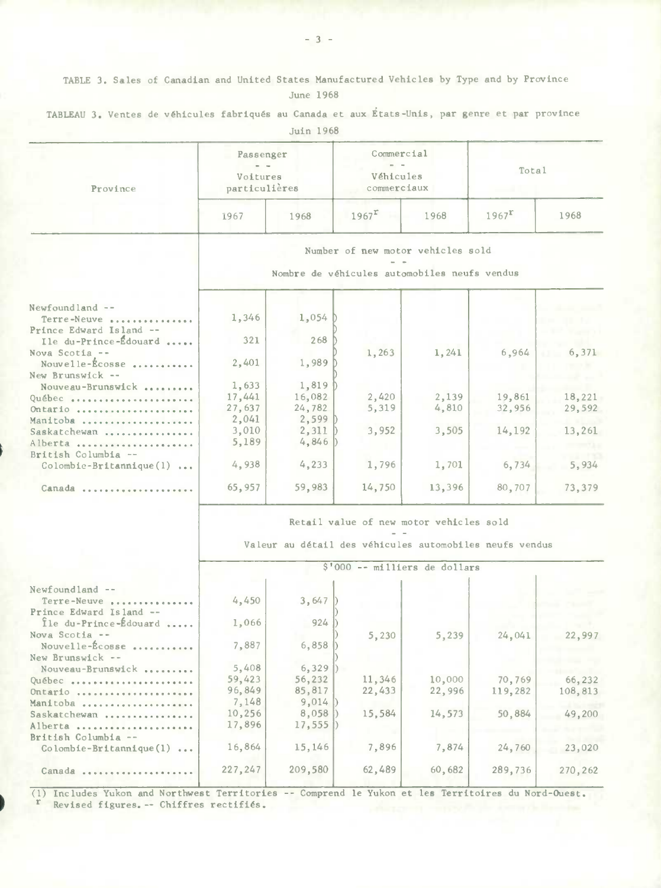TABLE 3. Sales of Canadian and United States Manufactured Vehicles by Type and by Province June 1968

| Province                                           | Passenger<br>Voitures<br>particulières                  |         | Commercial<br>Véhicules<br>commerciaux |        | Total               |         |  |  |  |  |  |  |
|----------------------------------------------------|---------------------------------------------------------|---------|----------------------------------------|--------|---------------------|---------|--|--|--|--|--|--|
|                                                    | 1967                                                    | 1968    | $1967$ <sup>r</sup>                    | 1968   | $1967$ <sup>r</sup> | 1968    |  |  |  |  |  |  |
|                                                    | Number of new motor vehicles sold                       |         |                                        |        |                     |         |  |  |  |  |  |  |
|                                                    | Nombre de véhicules automobiles neufs vendus            |         |                                        |        |                     |         |  |  |  |  |  |  |
| $Newtondland --$                                   |                                                         |         |                                        |        |                     |         |  |  |  |  |  |  |
| Terre-Neuve.<br>Prince Edward Island --            | 1,346                                                   | 1,054   |                                        |        |                     |         |  |  |  |  |  |  |
| Ile du-Prince-Édouard<br>Nova Scotia --            | 321                                                     | 268     | 1,263                                  | 1,241  | 6,964               | 6,371   |  |  |  |  |  |  |
| Nouvelle-Écosse<br>New Brunswick --                | 2,401                                                   | 1,989   |                                        |        |                     |         |  |  |  |  |  |  |
| Nouveau-Brunswick                                  | 1,633                                                   | 1,819   |                                        |        |                     |         |  |  |  |  |  |  |
| Québec                                             | 17,441                                                  | 16,082  | 2,420                                  | 2,139  | 19,861              | 18,221  |  |  |  |  |  |  |
| Ontario                                            | 27,637                                                  | 24,782  | 5,319                                  | 4,810  | 32,956              | 29,592  |  |  |  |  |  |  |
| Manitoba                                           | 2,041                                                   | 2,599   |                                        |        |                     |         |  |  |  |  |  |  |
| Saskatchewan                                       | 3,010                                                   | 2,311   | 3,952                                  | 3,505  | 14,192              | 13,261  |  |  |  |  |  |  |
| Alberta                                            | 5,189                                                   | 4,846   |                                        |        |                     |         |  |  |  |  |  |  |
| British Columbia --<br>$Colombie-Brittannique(1) $ | 4,938                                                   | 4,233   | 1,796                                  | 1,701  | 6,734               | 5,934   |  |  |  |  |  |  |
| $Canada \dots$                                     | 65,957                                                  | 59,983  | 14,750                                 | 13,396 | 80,707              | 73,379  |  |  |  |  |  |  |
|                                                    | Retail value of new motor vehicles sold                 |         |                                        |        |                     |         |  |  |  |  |  |  |
|                                                    | Valeur au détail des véhicules automobiles neufs vendus |         |                                        |        |                     |         |  |  |  |  |  |  |
|                                                    |                                                         |         | \$'000 -- milliers de dollars          |        |                     |         |  |  |  |  |  |  |
| Newfoundland --                                    |                                                         |         |                                        |        |                     |         |  |  |  |  |  |  |
| Terre-Neuve.<br>Prince Edward Island --            | 4,450                                                   | 3,647   |                                        |        |                     |         |  |  |  |  |  |  |
| Île du-Prince-Édouard                              | 1,066                                                   | 924     |                                        |        |                     |         |  |  |  |  |  |  |
| Nova Scotia --<br>Nouvelle-Écosse                  | 7,887                                                   | 6,858   | 5,230                                  | 5,239  | 24,041              | 22,997  |  |  |  |  |  |  |
| New Brunswick --                                   |                                                         |         |                                        |        |                     |         |  |  |  |  |  |  |
| Nouveau-Brunswick                                  | 5,408                                                   | 6,329   |                                        |        |                     |         |  |  |  |  |  |  |
| Québec                                             | 59,423                                                  | 56,232  | 11,346                                 | 10,000 | 70,769              | 66,232  |  |  |  |  |  |  |
| Ontario                                            | 96,849                                                  | 85,817  | 22,433                                 | 22,996 | 119,282             | 108,813 |  |  |  |  |  |  |
| Manitoba                                           | 7,148                                                   | 9,014   |                                        |        |                     |         |  |  |  |  |  |  |
| Saskatchewan                                       | 10,256                                                  | 8,058   | 15,584                                 | 14,573 | 50,884              | 49,200  |  |  |  |  |  |  |
| Alberta<br>British Columbia --                     | 17,896                                                  | 17,555  |                                        |        |                     |         |  |  |  |  |  |  |
| $\text{Co}$ lombie-Britannique(1)                  | 16,864                                                  | 15,146  | 7,896                                  | 7,874  | 24,760              | 23,020  |  |  |  |  |  |  |
| Canada                                             | 227,247                                                 | 209,580 | 62,489                                 | 60,682 | 289,736             | 270,262 |  |  |  |  |  |  |

TABLEAU 3. Ventes de véhicules fabriqués au Canada et aux États-Unis, par genre et par province

Juin 1968

(1) Includes Yukon and Northwest Territories -- Comprend le Yukon et lea Territoires du Nord-Ouest. r Revised figures. -- Chiffres rectifiés.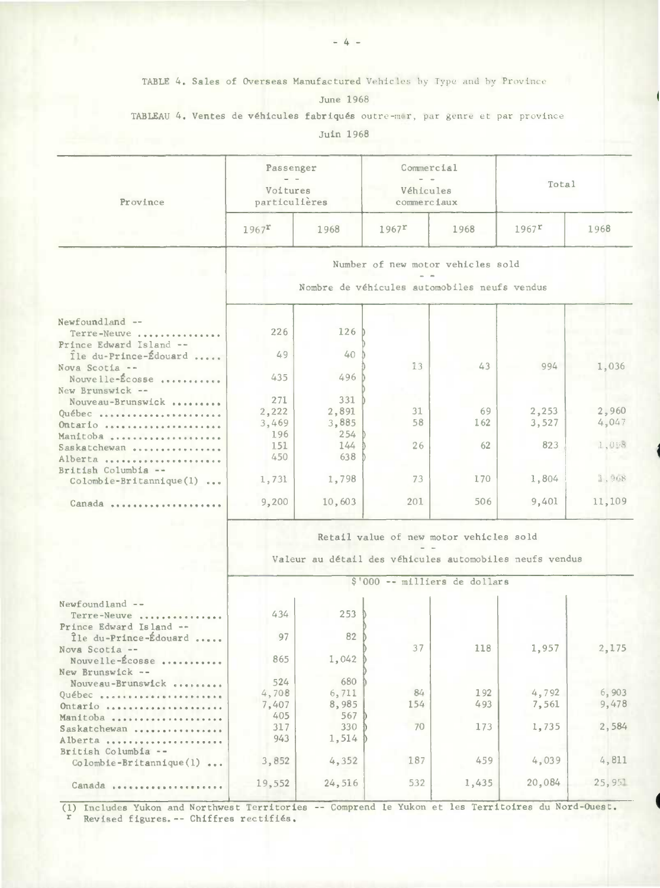TABLE 4. Sales of Overseas Manufactured Vehicles by Type and by Province

June 1968

TABLEAU 4. Ventes de véhicules fabriqués outre-mer, par genre et par province

Juin 1968

| Province                                         | Passenger<br>Voitures<br>particulières |            | Commercial<br>Véhicules<br>commerciaux                  |       | Total               |        |  |
|--------------------------------------------------|----------------------------------------|------------|---------------------------------------------------------|-------|---------------------|--------|--|
|                                                  | $1967$ <sup>r</sup>                    | 1968       | $1967$ <sup>r</sup>                                     | 1968  | $1967$ <sup>r</sup> | 1968   |  |
|                                                  |                                        |            | Number of new motor vehicles sold                       |       |                     |        |  |
|                                                  |                                        |            | Nombre de véhicules automobiles neufs vendus            |       |                     |        |  |
|                                                  |                                        |            |                                                         |       |                     |        |  |
| Newfoundland --<br>Terre-Neuve                   | 226                                    | 126        |                                                         |       |                     |        |  |
| Prince Edward Island --                          |                                        |            |                                                         |       |                     |        |  |
| Île du-Prince-Édouard                            | 49                                     | 40         |                                                         |       |                     |        |  |
| Nova Scotia --                                   |                                        |            | 13                                                      | 43    | 994                 | 1,036  |  |
| Nouvelle-Écosse                                  | 435                                    | 496        |                                                         |       |                     |        |  |
| New Brunswick --                                 |                                        |            |                                                         |       |                     |        |  |
| Nouveau-Brunswick                                | 271                                    | 331        |                                                         |       |                     |        |  |
| Québec                                           | 2,222                                  | 2,891      | 31                                                      | 69    | 2,253               | 2,960  |  |
| Ontario                                          | 3,469                                  | 3,885      | 58                                                      | 162   | 3,527               | 4,047  |  |
| Manitoba                                         | 196                                    | 254<br>144 |                                                         |       | 823                 | 1,008  |  |
| Saskatchewan                                     | 151<br>450                             | 638        | 26                                                      | 62    |                     |        |  |
| Alberta                                          |                                        |            |                                                         |       |                     |        |  |
| British Columbia --<br>Colombie-Britannique(1)   | 1,731                                  | 1,798      | 73                                                      | 170   | 1,804               | 1,968  |  |
|                                                  |                                        |            |                                                         |       |                     |        |  |
| $Canada \dots \dots \dots$                       | 9,200                                  | 10,603     | 201                                                     | 506   | 9,401               | 11,109 |  |
|                                                  |                                        |            |                                                         |       |                     |        |  |
|                                                  |                                        |            | Retail value of new motor vehicles sold                 |       |                     |        |  |
|                                                  |                                        |            |                                                         |       |                     |        |  |
|                                                  |                                        |            | Valeur au détail des véhicules automobiles neufs vendus |       |                     |        |  |
|                                                  |                                        |            | \$'000 -- milliers de dollars                           |       |                     |        |  |
|                                                  |                                        |            |                                                         |       |                     |        |  |
| Newfoundland --                                  |                                        |            |                                                         |       |                     |        |  |
| Terre-Neuve                                      | 434                                    | 253        |                                                         |       |                     |        |  |
| Prince Edward Island --<br>Île du-Prince-Édouard | 97                                     | 82         |                                                         |       |                     |        |  |
| Nova Scotia --                                   |                                        |            | 37                                                      | 118   | 1,957               | 2,175  |  |
| Nouvelle-Écosse                                  | 865                                    | 1,042      |                                                         |       |                     |        |  |
| New Brunswick --                                 |                                        |            |                                                         |       |                     |        |  |
| Nouveau-Brunswick                                | 524                                    | 680        |                                                         |       |                     |        |  |
| Québec                                           | 4,708                                  | 6,711      | 84                                                      | 192   | 4,792               | 6,903  |  |
| Ontario                                          | 7,407                                  | 8,985      | 154                                                     | 493   | 7,561               | 9,478  |  |
| Manitoba                                         | 405                                    | 567        |                                                         |       |                     |        |  |
| Saskatchewan                                     | 317                                    | 330        | 70                                                      | 173   | 1,735               | 2,584  |  |
| Alberta                                          | 943                                    | 1,514      |                                                         |       |                     |        |  |
| British Columbia --                              | 3,852                                  | 4,352      | 187                                                     | 459   | 4,039               | 4,811  |  |
| $Colombie-Britannique(1) $                       |                                        |            |                                                         |       |                     |        |  |
| Canada                                           | 19,552                                 | 24,516     | 532                                                     | 1,435 | 20,084              | 25,951 |  |

(1) Includes Yukon and Northwest Territories -- **Comprend le Yukon et les Territoires du Nord-Ouest. r Revised figures.-- Chif free rectifiés.**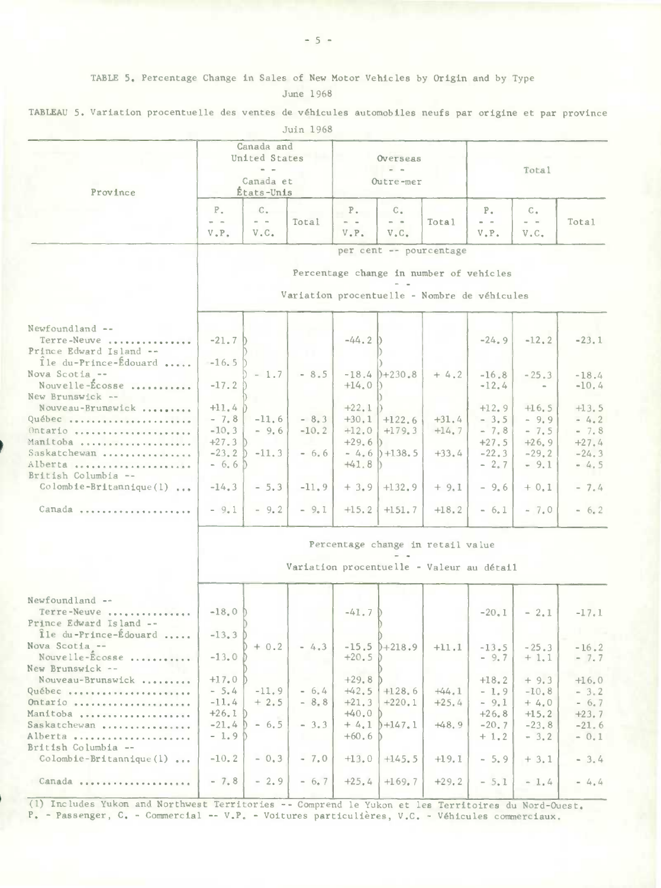|  |  |  | TABLEAU 5. Variation procentuelle des ventes de véhicules automobiles neufs par origine et par province |  |  |  |  |  |  |  |  |  |  |  |
|--|--|--|---------------------------------------------------------------------------------------------------------|--|--|--|--|--|--|--|--|--|--|--|
|--|--|--|---------------------------------------------------------------------------------------------------------|--|--|--|--|--|--|--|--|--|--|--|

| Juin 1968 |
|-----------|
|-----------|

| Province                                                                                                                                  |                                                                            | Canada and<br>United States<br>$\sim$ $ \sim$<br>Canada et<br>États-Unis |                                         | Overseas<br>Outre-mer                                                     |                                                                          |                                                                                         | Total                                                                          |                                                                         |                                                                       |
|-------------------------------------------------------------------------------------------------------------------------------------------|----------------------------------------------------------------------------|--------------------------------------------------------------------------|-----------------------------------------|---------------------------------------------------------------------------|--------------------------------------------------------------------------|-----------------------------------------------------------------------------------------|--------------------------------------------------------------------------------|-------------------------------------------------------------------------|-----------------------------------------------------------------------|
|                                                                                                                                           | $P_{\tau}$<br>$ -$<br>$V$ , $P$ .                                          | $C_{\bullet}$<br>$\sim$ $ -$<br>$V$ . $C$ .                              | Total                                   | $P_{\star}$<br>$\qquad \qquad -$<br>$V$ . $P$ .                           | $C_{\alpha}$<br>$\qquad \qquad =\qquad$<br>V <sub>•</sub> C <sub>•</sub> | Total                                                                                   | $P_{\star}$<br>$\frac{1}{2} \left( \frac{1}{2} \right) = \frac{1}{2}$<br>V, P. | $C_{\alpha}$<br>$\sim$ $ -$<br>V <sub>a</sub> C <sub>a</sub>            | Total                                                                 |
|                                                                                                                                           |                                                                            |                                                                          |                                         |                                                                           | per cent -- pourcentage                                                  | Percentage change in number of vehicles<br>Variation procentuelle - Nombre de véhicules |                                                                                |                                                                         |                                                                       |
| Newfoundland --<br>Terre-Neuve<br>Prince Edward Island --<br>Ile du-Prince-Edouard                                                        | $-21.7$<br>$-16.5$                                                         |                                                                          |                                         | $-44.2$                                                                   |                                                                          |                                                                                         | $-24.9$                                                                        | $-12.2$                                                                 | $-23.1$                                                               |
| Nova Scotia --<br>Nouvelle-Écosse<br>New Brunswick --                                                                                     | $-17.2$                                                                    | $-1.7$                                                                   | $-8.5$                                  | $+14.0$                                                                   | $-18.4$ $)+230.8$                                                        | $+4.2$                                                                                  | $-16.8$<br>$-12.4$                                                             | $-25.3$<br>$\sim$                                                       | $-18.4$<br>$-10.4$                                                    |
| Nouveau-Brunswick<br>Québec<br>Ontario<br>Manitoba<br>Saskatchewan<br>Alberta<br>British Columbia --<br>$\text{Colomb}$ ie-Britannique(1) | $+11.4$<br>$-7.8$<br>$-10, 3$<br>$+27.3$ D<br>$-6, 6)$<br>$-14.3$          | $-11.6$<br>$-9,6$<br>$-23, 2$ $-11, 3$<br>$-5.3$                         | $-8.3$<br>$-10.2$<br>$-6.6$<br>$-11, 9$ | $+22.1$<br>$+30,1$<br>$+12,0$<br>$+29.6$<br>$+41.8$                       | $+122.6$<br>$+179.3$<br>D.<br>$-4.6$ ) +138.5<br>$+3.9$ + 132.9          | $+31.4$<br>$+14.7$<br>$+33.4$<br>$+9.1$                                                 | $+12.9$<br>$-3.5$<br>$-7.8$<br>$+27.5$<br>$-22.3$<br>$-2.7$<br>$-9.6$          | $+16.5$<br>$-9,9$<br>$-7.5$<br>$+26, 9$<br>$-29.2$<br>$-9.1$<br>$+ 0.1$ | $+13.5$<br>$-4.2$<br>$-7.8$<br>$+27.4$<br>$-24.3$<br>$-4.5$<br>$-7.4$ |
| Canada                                                                                                                                    | $-9.1$                                                                     | $-9.2$                                                                   | $-9.1$                                  | $+15.2$                                                                   | $+151.7$                                                                 | $+18.2$                                                                                 | $-6.1$                                                                         | $-7.0$                                                                  | $-6.2$                                                                |
|                                                                                                                                           |                                                                            |                                                                          |                                         |                                                                           |                                                                          | Percentage change in retail value<br>Variation procentuelle - Valeur au détail          |                                                                                |                                                                         |                                                                       |
| Newfoundland --<br>Terre-Neuve<br>Prince Edward Island --<br>Île du-Prince-Édouard                                                        | $-18.0h$<br>$-13.3$                                                        |                                                                          |                                         | $-41.7D$                                                                  |                                                                          |                                                                                         | $-20.1$                                                                        | $-2.1$                                                                  | $-17.1$                                                               |
| Nova Scotia --<br>Nouvelle-Écosse<br>New Brunswick --                                                                                     | $-13.0$                                                                    | $+ 0.2$                                                                  | $-4.3$                                  | $+20.5$ $\circ$                                                           | $-15.5$ $)+218.9$                                                        | $+11.1$                                                                                 | $-13.5$<br>$-9.7$                                                              | $-25.3$<br>$+1.1$                                                       | $-16.2$<br>$-7.7$                                                     |
| Nouveau-Brunswick<br>Québec<br>Ontario<br>Manitoba<br>Saskatchewan<br>Alberta<br>British Columbia --<br>Colombie-Britannique(1)           | $+17.0$<br>$-5.4$<br>$-11.4$<br>$+26.1$ D<br>$-21.4$<br>$-1.9D$<br>$-10.2$ | $-11.9$<br>$+2.5$<br>$-6.5$<br>$-0,3$                                    | $-6.4$<br>$-8.8$<br>$-3.3$<br>$-7.0$    | $+29.8$<br>$+42.5$<br>$+21.3$<br>$+40.0$<br>$+4.1$<br>$+60, 6$<br>$+13.0$ | $+128,6$<br>$+220,1$<br>$b + 147.1$<br>$+145.5$                          | $+44.1$<br>$+25.4$<br>$+48.9$<br>$+19.1$                                                | $+18, 2$<br>$-1.9$<br>$-9.1$<br>$+26, 8$<br>$-20.7$<br>$+1.2$<br>$-5.9$        | $+9.3$<br>$-10.8$<br>$+4.0$<br>$+15, 2$<br>$-23.8$<br>$-3.2$<br>$+3.1$  | $+16,0$<br>$-3.2$<br>$-6.7$<br>$+23.7$<br>$-21.6$<br>$-0.1$<br>$-3.4$ |
|                                                                                                                                           | $-7.8$                                                                     | $-2.9$                                                                   | $-6.7$                                  | $+25.4$                                                                   | $+169.7$                                                                 | $+29.2$                                                                                 | $-5.1$                                                                         | $-1.4$                                                                  | $= 4.4$                                                               |

(1) Includes Yukon and Northwest Territories -- Comprend le Yukon et les Territoires du Nord-Ouest.<br>P. - Passenger, C. - Commercial -- V.P. - Voitures particulières, V.C. - Véhicules commerciaux.